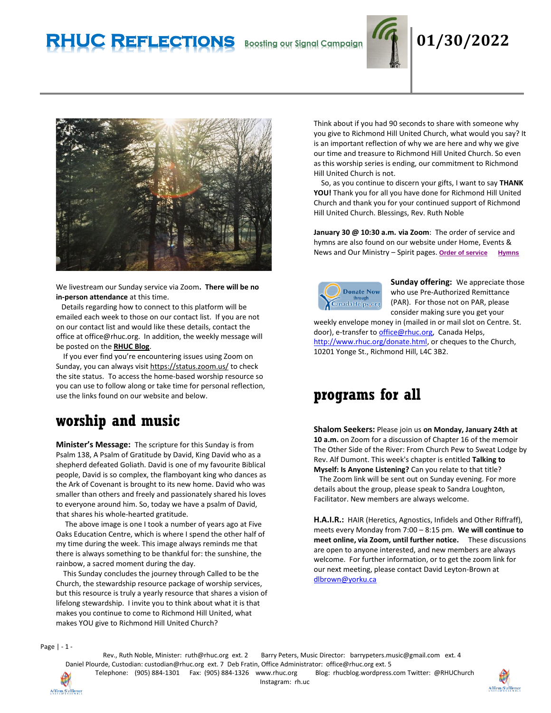# **RHUC Reflections Boosting our Signal Campaign 01/30/2022**



We livestream our Sunday service via Zoom**. There will be no in-person attendance** at this time.

 Details regarding how to connect to this platform will be emailed each week to those on our contact list. If you are not on our contact list and would like these details, contact the office at office@rhuc.org. In addition, the weekly message will be posted on the **[RHUC Blog](https://rhucblog.wordpress.com/)**.

 If you ever find you're encountering issues using Zoom on Sunday, you can always visi[t https://status.zoom.us/](https://status.zoom.us/) to check the site status. To access the home-based worship resource so you can use to follow along or take time for personal reflection, use the links found on our website and below.

## **worship and music**

**Minister's Message:** The scripture for this Sunday is from Psalm 138, A Psalm of Gratitude by David, King David who as a shepherd defeated Goliath. David is one of my favourite Biblical people, David is so complex, the flamboyant king who dances as the Ark of Covenant is brought to its new home. David who was smaller than others and freely and passionately shared his loves to everyone around him. So, today we have a psalm of David, that shares his whole-hearted gratitude.

 The above image is one I took a number of years ago at Five Oaks Education Centre, which is where I spend the other half of my time during the week. This image always reminds me that there is always something to be thankful for: the sunshine, the rainbow, a sacred moment during the day.

 This Sunday concludes the journey through Called to be the Church, the stewardship resource package of worship services, but this resource is truly a yearly resource that shares a vision of lifelong stewardship. I invite you to think about what it is that makes you continue to come to Richmond Hill United, what makes YOU give to Richmond Hill United Church?

Think about if you had 90 seconds to share with someone why you give to Richmond Hill United Church, what would you say? It is an important reflection of why we are here and why we give our time and treasure to Richmond Hill United Church. So even as this worship series is ending, our commitment to Richmond Hill United Church is not.

 So, as you continue to discern your gifts, I want to say **THANK YOU!** Thank you for all you have done for Richmond Hill United Church and thank you for your continued support of Richmond Hill United Church. Blessings, Rev. Ruth Noble

**January 30 @ 10:30 a.m. via Zoom**: The order of service and hymns are also found on our website under Home, Events & News and Our Ministry – Spirit pages. **Order of [service](http://rhuc.org/January%2030%202022.pdf) [Hymns](http://rhuc.org/Hymns%20for%202022%2001%2030.pdf)**



**Sunday offering:** We appreciate those who use Pre-Authorized Remittance (PAR). For those not on PAR, please consider making sure you get your

weekly envelope money in (mailed in or mail slot on Centre. St. door), e-transfer t[o office@rhuc.org,](mailto:office@rhuc.org) Canada Helps, [http://www.rhuc.org/donate.html,](http://www.rhuc.org/donate.html) or cheques to the Church, 10201 Yonge St., Richmond Hill, L4C 3B2.

## **programs for all**

**Shalom Seekers:** Please join us **on Monday, January 24th at 10 a.m.** on Zoom for a discussion of Chapter 16 of the memoir The Other Side of the River: From Church Pew to Sweat Lodge by Rev. Alf Dumont. This week's chapter is entitled **Talking to Myself: Is Anyone Listening?** Can you relate to that title?

 The Zoom link will be sent out on Sunday evening. For more details about the group, please speak to Sandra Loughton, Facilitator. New members are always welcome.

**H.A.I.R.:** HAIR (Heretics, Agnostics, Infidels and Other Riffraff), meets every Monday from 7:00 – 8:15 pm. **We will continue to meet online, via Zoom, until further notice.** These discussions are open to anyone interested, and new members are always welcome. For further information, or to get the zoom link for our next meeting, please contact David Leyton-Brown at [dlbrown@yorku.ca](mailto:dlbrown@yorku.ca)

Page | - 1 -

Rev., Ruth Noble, Minister: [ruth@rhuc.org](mailto:ruth@rhuc.org) ext. 2 Barry Peters, Music Director: barrypeters.music@gmail.com ext. 4 Daniel Plourde, Custodian: [custodian@rhuc.org](mailto:custodian@rhuc.org) ext. 7 Deb Fratin, Office Administrator: [office@rhuc.org](mailto:office@rhuc.org) ext. 5 Telephone: (905) 884-1301 Fax: (905) 884-1326 [www.rhuc.org](http://www.rhuc.org/) Blog: rhucblog.wordpress.com Twitter: @RHUChurch

Affirm/Saffirmer

Instagram: rh.uc

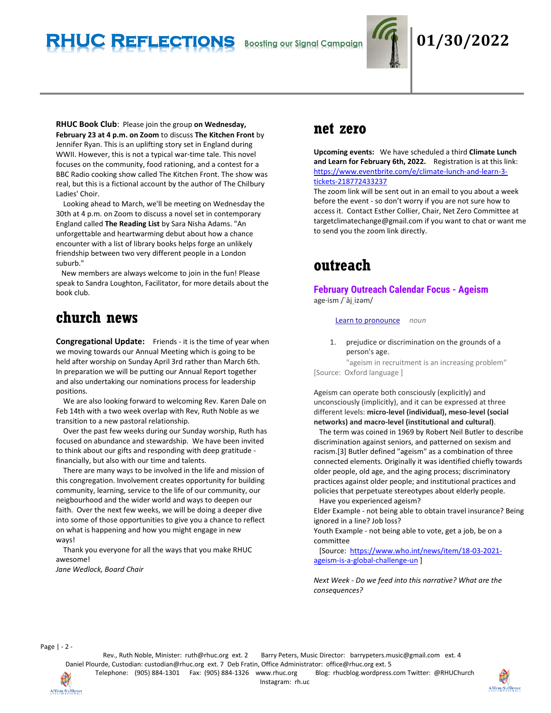

## **RHUC Reflections Boosting our Signal Campaign 01/30/2022**

**RHUC Book Club**: Please join the group **on Wednesday, February 23 at 4 p.m. on Zoom** to discuss **The Kitchen Front** by Jennifer Ryan. This is an uplifting story set in England during WWII. However, this is not a typical war-time tale. This novel focuses on the community, food rationing, and a contest for a BBC Radio cooking show called The Kitchen Front. The show was real, but this is a fictional account by the author of The Chilbury Ladies' Choir.

 Looking ahead to March, we'll be meeting on Wednesday the 30th at 4 p.m. on Zoom to discuss a novel set in contemporary England called **The Reading List** by Sara Nisha Adams. "An unforgettable and heartwarming debut about how a chance encounter with a list of library books helps forge an unlikely friendship between two very different people in a London suburb."

 New members are always welcome to join in the fun! Please speak to Sandra Loughton, Facilitator, for more details about the book club.

## **church news**

**Congregational Update:** Friends - it is the time of year when we moving towards our Annual Meeting which is going to be held after worship on Sunday April 3rd rather than March 6th. In preparation we will be putting our Annual Report together and also undertaking our nominations process for leadership positions.

 We are also looking forward to welcoming Rev. Karen Dale on Feb 14th with a two week overlap with Rev, Ruth Noble as we transition to a new pastoral relationship.

 Over the past few weeks during our Sunday worship, Ruth has focused on abundance and stewardship. We have been invited to think about our gifts and responding with deep gratitude financially, but also with our time and talents.

 There are many ways to be involved in the life and mission of this congregation. Involvement creates opportunity for building community, learning, service to the life of our community, our neigbourhood and the wider world and ways to deepen our faith. Over the next few weeks, we will be doing a deeper dive into some of those opportunities to give you a chance to reflect on what is happening and how you might engage in new ways!

 Thank you everyone for all the ways that you make RHUC awesome!

*Jane Wedlock, Board Chair*

### **net zero**

**Upcoming events:** We have scheduled a third **Climate Lunch and Learn for February 6th, 2022.** Registration is at this link: [https://www.eventbrite.com/e/climate-lunch-and-learn-3](https://www.eventbrite.com/e/climate-lunch-and-learn-3-tickets-218772433237) [tickets-218772433237](https://www.eventbrite.com/e/climate-lunch-and-learn-3-tickets-218772433237)

The zoom link will be sent out in an email to you about a week before the event - so don't worry if you are not sure how to access it. Contact Esther Collier, Chair, Net Zero Committee at targetclimatechange@gmail.com if you want to chat or want me to send you the zoom link directly.

## **outreach**

**February Outreach Calendar Focus - Ageism** age·ism /ˈājˌizəm/

#### [Learn to pronounce](https://www.google.com/search?rlz=1C1CHBF_enCA809CA809&q=how+to+pronounce+ageism&stick=H4sIAAAAAAAAAOMIfcRowS3w8sc9YSn9SWtOXmPU5OINKMrPK81LzkwsyczPExLiYglJLcoV4pLi4GJLTE_NLM61YlFiSs3jWcQqnpFfrlCSr1AA1JEP1JKqAFEAADtQsulXAAAA&pron_lang=en&pron_country=us&sa=X&ved=2ahUKEwiCmN6ThdD1AhV-lIkEHaWDCZoQ3eEDegQIAhAH) *noun*

1. prejudice or discrimination on the grounds of a person's age.

"ageism in recruitment is an increasing problem" [Source: Oxford language ]

Ageism can operate both consciously (explicitly) and unconsciously (implicitly), and it can be expressed at three different levels: **micro-level (individual), meso-level (social networks) and macro-level (institutional and cultural)**.

 The term was coined in 1969 by Robert Neil Butler to describe discrimination against seniors, and patterned on sexism and racism.[3] Butler defined "ageism" as a combination of three connected elements. Originally it was identified chiefly towards older people, old age, and the aging process; discriminatory practices against older people; and institutional practices and policies that perpetuate stereotypes about elderly people. Have you experienced ageism?

Elder Example - not being able to obtain travel insurance? Being ignored in a line? Job loss?

Youth Example - not being able to vote, get a job, be on a committee

 [Source: [https://www.who.int/news/item/18-03-2021](https://www.who.int/news/item/18-03-2021-ageism-is-a-global-challenge-un) [ageism-is-a-global-challenge-un](https://www.who.int/news/item/18-03-2021-ageism-is-a-global-challenge-un) ]

*Next Week - Do we feed into this narrative? What are the consequences?*

Page | - 2 -

Rev., Ruth Noble, Minister: [ruth@rhuc.org](mailto:ruth@rhuc.org) ext. 2 Barry Peters, Music Director: barrypeters.music@gmail.com ext. 4 Daniel Plourde, Custodian: [custodian@rhuc.org](mailto:custodian@rhuc.org) ext. 7 Deb Fratin, Office Administrator: [office@rhuc.org](mailto:office@rhuc.org) ext. 5 Telephone: (905) 884-1301 Fax: (905) 884-1326 [www.rhuc.org](http://www.rhuc.org/) Blog: rhucblog.wordpress.com Twitter: @RHUChurch

Instagram: rh.uc

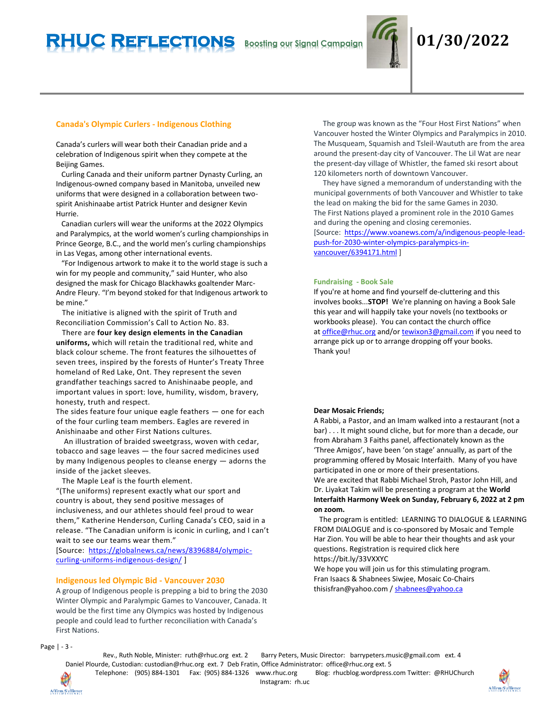

#### **Canada's Olympic Curlers - Indigenous Clothing**

Canada's curlers will wear both their Canadian pride and a celebration of Indigenous spirit when they compete at the Beijing Games.

 Curling Canada and their uniform partner Dynasty Curling, an Indigenous-owned company based in Manitoba, unveiled new uniforms that were designed in a collaboration between twospirit Anishinaabe artist Patrick Hunter and designer Kevin Hurrie.

 Canadian curlers will wear the uniforms at the 2022 Olympics and Paralympics, at the world women's curling championships in Prince George, B.C., and the world men's curling championships in Las Vegas, among other international events.

 "For Indigenous artwork to make it to the world stage is such a win for my people and community," said Hunter, who also designed the mask for Chicago Blackhawks goaltender Marc-Andre Fleury. "I'm beyond stoked for that Indigenous artwork to be mine."

 The initiative is aligned with the spirit of Truth and Reconciliation Commission's Call to Action No. 83.

 There are **four key design elements in the Canadian uniforms,** which will retain the traditional red, white and black colour scheme. The front features the silhouettes of seven trees, inspired by the forests of Hunter's Treaty Three homeland of Red Lake, Ont. They represent the seven grandfather teachings sacred to Anishinaabe people, and important values in sport: love, humility, wisdom, bravery, honesty, truth and respect.

The sides feature four unique eagle feathers — one for each of the four curling team members. Eagles are revered in Anishinaabe and other First Nations cultures.

 An illustration of braided sweetgrass, woven with cedar, tobacco and sage leaves — the four sacred medicines used by many Indigenous peoples to cleanse energy — adorns the inside of the jacket sleeves.

The Maple Leaf is the fourth element.

"(The uniforms) represent exactly what our sport and country is about, they send positive messages of inclusiveness, and our athletes should feel proud to wear them," Katherine Henderson, Curling Canada's CEO, said in a release. "The Canadian uniform is iconic in curling, and I can't wait to see our teams wear them."

[Source: [https://globalnews.ca/news/8396884/olympic](https://globalnews.ca/news/8396884/olympic-curling-uniforms-indigenous-design/)[curling-uniforms-indigenous-design/](https://globalnews.ca/news/8396884/olympic-curling-uniforms-indigenous-design/) ]

#### **Indigenous led Olympic Bid - Vancouver 2030**

A group of Indigenous people is prepping a bid to bring the 2030 Winter Olympic and Paralympic Games to Vancouver, Canada. It would be the first time any Olympics was hosted by Indigenous people and could lead to further reconciliation with Canada's First Nations.

 The group was known as the "Four Host First Nations" when Vancouver hosted the Winter Olympics and Paralympics in 2010. The Musqueam, Squamish and Tsleil-Waututh are from the area around the present-day city of Vancouver. The Lil Wat are near the present-day village of Whistler, the famed ski resort about 120 kilometers north of downtown Vancouver.

 They have signed a memorandum of understanding with the municipal governments of both Vancouver and Whistler to take the lead on making the bid for the same Games in 2030. The First Nations played a prominent role in the 2010 Games and during the opening and closing ceremonies. [Source: [https://www.voanews.com/a/indigenous-people-lead-](https://www.voanews.com/a/indigenous-people-lead-push-for-2030-winter-olympics-paralympics-in-vancouver/6394171.html)

[push-for-2030-winter-olympics-paralympics-in](https://www.voanews.com/a/indigenous-people-lead-push-for-2030-winter-olympics-paralympics-in-vancouver/6394171.html)[vancouver/6394171.html](https://www.voanews.com/a/indigenous-people-lead-push-for-2030-winter-olympics-paralympics-in-vancouver/6394171.html) ]

#### **Fundraising - Book Sale**

If you're at home and find yourself de-cluttering and this involves books...**STOP!** We're planning on having a Book Sale this year and will happily take your novels (no textbooks or workbooks please). You can contact the church office at [office@rhuc.org](mailto:office@rhuc.org) and/or [tewixon3@gmail.com](mailto:tewixon3@gmail.com) if you need to arrange pick up or to arrange dropping off your books. Thank you!

#### **Dear Mosaic Friends;**

A Rabbi, a Pastor, and an Imam walked into a restaurant (not a bar) . . . It might sound cliche, but for more than a decade, our from Abraham 3 Faiths panel, affectionately known as the 'Three Amigos', have been 'on stage' annually, as part of the programming offered by Mosaic Interfaith. Many of you have participated in one or more of their presentations. We are excited that Rabbi Michael Stroh, Pastor John Hill, and

Dr. Liyakat Takim will be presenting a program at the **World Interfaith Harmony Week on Sunday, February 6, 2022 at 2 pm on zoom.**

 The program is entitled: LEARNING TO DIALOGUE & LEARNING FROM DIALOGUE and is co-sponsored by Mosaic and Temple Har Zion. You will be able to hear their thoughts and ask your questions. Registration is required click here https://bit.ly/33VXXYC

We hope you will join us for this stimulating program. Fran Isaacs & Shabnees Siwjee, Mosaic Co-Chairs thisisfran@yahoo.com [/ shabnees@yahoo.ca](mailto:shabnees@yahoo.ca)

Page | - 3 -

Rev., Ruth Noble, Minister: [ruth@rhuc.org](mailto:ruth@rhuc.org) ext. 2 Barry Peters, Music Director: barrypeters.music@gmail.com ext. 4 Daniel Plourde, Custodian: [custodian@rhuc.org](mailto:custodian@rhuc.org) ext. 7 Deb Fratin, Office Administrator: [office@rhuc.org](mailto:office@rhuc.org) ext. 5 Telephone: (905) 884-1301 Fax: (905) 884-1326 [www.rhuc.org](http://www.rhuc.org/) Blog: rhucblog.wordpress.com Twitter: @RHUChurch

Instagram: rh.uc



Affirm/S'affirmer